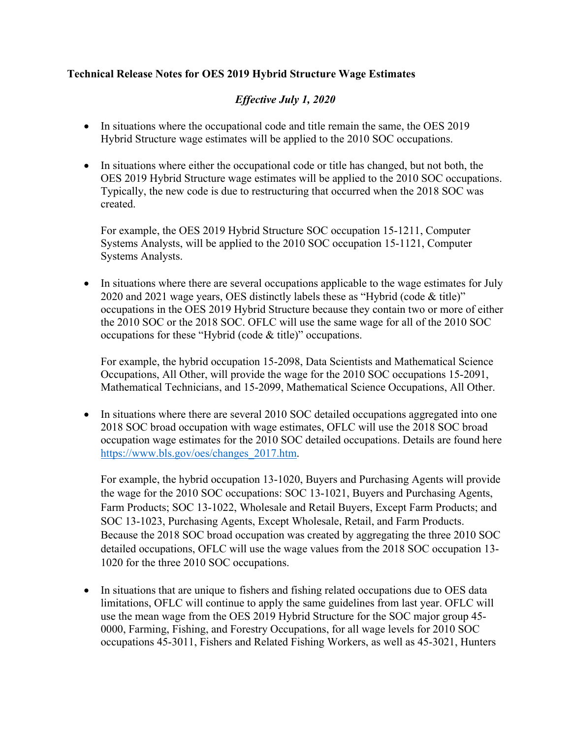## **Technical Release Notes for OES 2019 Hybrid Structure Wage Estimates**

## *Effective July 1, 2020*

- In situations where the occupational code and title remain the same, the OES 2019 Hybrid Structure wage estimates will be applied to the 2010 SOC occupations.
- In situations where either the occupational code or title has changed, but not both, the OES 2019 Hybrid Structure wage estimates will be applied to the 2010 SOC occupations. Typically, the new code is due to restructuring that occurred when the 2018 SOC was created.

For example, the OES 2019 Hybrid Structure SOC occupation 15-1211, Computer Systems Analysts, will be applied to the 2010 SOC occupation 15-1121, Computer Systems Analysts.

• In situations where there are several occupations applicable to the wage estimates for July 2020 and 2021 wage years, OES distinctly labels these as "Hybrid (code & title)" occupations in the OES 2019 Hybrid Structure because they contain two or more of either the 2010 SOC or the 2018 SOC. OFLC will use the same wage for all of the 2010 SOC occupations for these "Hybrid (code & title)" occupations.

For example, the hybrid occupation 15-2098, Data Scientists and Mathematical Science Occupations, All Other, will provide the wage for the 2010 SOC occupations 15-2091, Mathematical Technicians, and 15-2099, Mathematical Science Occupations, All Other.

• In situations where there are several 2010 SOC detailed occupations aggregated into one 2018 SOC broad occupation with wage estimates, OFLC will use the 2018 SOC broad occupation wage estimates for the 2010 SOC detailed occupations. Details are found here [https://www.bls.gov/oes/changes\\_2017.htm.](https://www.bls.gov/oes/changes_2017.htm)

For example, the hybrid occupation 13-1020, Buyers and Purchasing Agents will provide the wage for the 2010 SOC occupations: SOC 13-1021, Buyers and Purchasing Agents, Farm Products; SOC 13-1022, Wholesale and Retail Buyers, Except Farm Products; and SOC 13-1023, Purchasing Agents, Except Wholesale, Retail, and Farm Products. Because the 2018 SOC broad occupation was created by aggregating the three 2010 SOC detailed occupations, OFLC will use the wage values from the 2018 SOC occupation 13- 1020 for the three 2010 SOC occupations.

• In situations that are unique to fishers and fishing related occupations due to OES data limitations, OFLC will continue to apply the same guidelines from last year. OFLC will use the mean wage from the OES 2019 Hybrid Structure for the SOC major group 45- 0000, Farming, Fishing, and Forestry Occupations, for all wage levels for 2010 SOC occupations 45-3011, Fishers and Related Fishing Workers, as well as 45-3021, Hunters